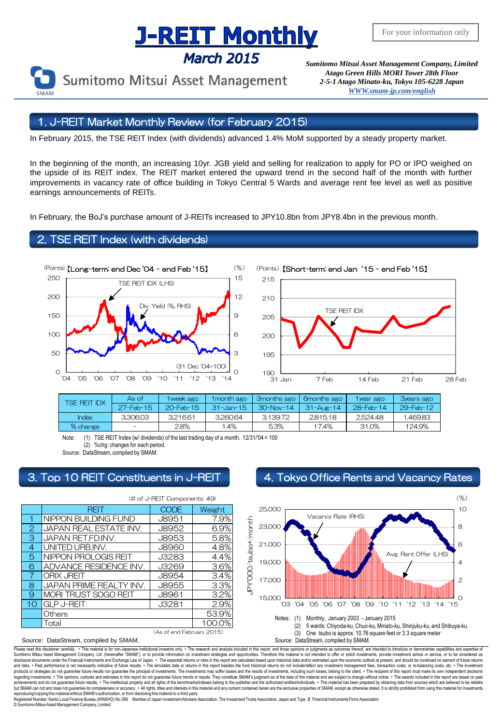## **J-REIT Monthly**

**March 2015** 



*Sumitomo Mitsui Asset Management Company, Limited Atago Green Hills MORI Tower 28th Floor 2-5-1 Atago Minato-ku, Tokyo 105-6228 Japa[n](mailto:English@smam-jp.com) [WWW.smam-jp.com/english](http://www.smam-jp.com/english)*

### 1. J-REIT Market Monthly Review (for February 2015)

In February 2015, the TSE REIT Index (with dividends) advanced 1.4% MoM supported by a steady property market.

In the beginning of the month, an increasing 10yr. JGB yield and selling for realization to apply for PO or IPO weighed on the upside of its REIT index. The REIT market entered the upward trend in the second half of the month with further improvements in vacancy rate of office building in Tokyo Central 5 Wards and average rent fee level as well as positive earnings announcements of REITs.

In February, the BoJ's purchase amount of J-REITs increased to JPY10.8bn from JPY8.4bn in the previous month.

### **TSE REIT Index (with dividends)**





|                                                                                                                                                                                     | <b>TSE REIT IDX</b>  | As of     | 1 week ago  | 1 month ago     | 3months ago | 6months ago            | 1year ago | <b>3years ago</b> |
|-------------------------------------------------------------------------------------------------------------------------------------------------------------------------------------|----------------------|-----------|-------------|-----------------|-------------|------------------------|-----------|-------------------|
|                                                                                                                                                                                     |                      | 27-Feb-15 | 20-Feb-15   | $31 - Jan - 15$ | $30-Nov-14$ | $31 - \text{Aug} - 14$ | 28-Feb-14 | 29-Feb-12         |
|                                                                                                                                                                                     | <b>Index</b>         | 3.306.03  | 3.216.61    | 3.260.64        | 3,139,72    | 2,815.18               | 2,524.48  | 1,469.83          |
|                                                                                                                                                                                     | % change             |           | 2.8%        | 1.4%            | 5.3%        | 17.4%                  | 31.0%     | 124.9%            |
| TSE REIT Index (w/ dividends) of the last trading day of a month. 12/31/'04 = 100<br>Note:<br>(1)<br>%chq: changes for each period.<br>(2)<br>Source: DataStream, compiled by SMAM. |                      |           |             |                 |             |                        |           |                   |
| $\mathsf{Top}$ 10 REIT Constituents in J-REIT $\mathsf{Sp}$<br>4. Tokyo Office Rents and Vacancy                                                                                    |                      |           |             |                 |             |                        |           |                   |
| (# of J-REIT Components: 49)                                                                                                                                                        |                      |           |             |                 |             |                        |           |                   |
|                                                                                                                                                                                     | RFIT                 |           | <b>CODE</b> | Weight          | 25,000      |                        |           |                   |
|                                                                                                                                                                                     | NIPPON BUILDING FUND |           | J8951       | 7.9%<br>옴       |             | Vacancy Rate (RHS)     |           |                   |

### 3. Top 10 REIT Constituents in J-REIT 4. Tokyo Office Rents and Vacancy Rates

|    | RFII                        | <b>CODE</b>               | Weight |  |  |  |  |
|----|-----------------------------|---------------------------|--------|--|--|--|--|
|    | NIPPON BUILDING FUND        | <b>J8951</b>              | 7.9%   |  |  |  |  |
| 2  | JAPAN REAL ESTATE INV.      | <b>J8952</b>              | 6.9%   |  |  |  |  |
| 3  | JAPAN RET.FD.INV.           | <b>J8953</b>              | 5.8%   |  |  |  |  |
| 4  | UNITED URB.INV.             | <b>J8960</b>              | 4.8%   |  |  |  |  |
| 5  | NIPPON PROLOGIS REIT        | J3283                     | 4.4%   |  |  |  |  |
| 6  | ADVANCE RESIDENCE INV.      | J3269                     | 3.6%   |  |  |  |  |
|    | <b>ORIX JREIT</b>           | <b>J8954</b>              | 3.4%   |  |  |  |  |
| 8  | JAPAN PRIME REALTY INV.     | <b>J8955</b>              | 3.3%   |  |  |  |  |
| 9  | <b>MORI TRUST SOGO REIT</b> | <b>J8961</b>              | 3.2%   |  |  |  |  |
| 10 | <b>GLP J-REIT</b>           | J3281                     | 2.9%   |  |  |  |  |
|    | Others                      |                           | 53.9%  |  |  |  |  |
|    | Total                       |                           | 100.0% |  |  |  |  |
|    |                             | (As of end February 2015) |        |  |  |  |  |

### (# of J-REIT Components: 49)

**Ш**о<br>'15 2 4 6 8 10  $15,000$ ,  $\frac{11}{03}$ 17,000 19,000 21,000 23,000 25,000 '03 '04 '05 '06 '07 '08 '09 '10 '11 '12 '13 '14 '15 (%) Vacancy Rate (RHS) Avg. Rent Offer (LHS) Notes: (1) Monthly, January 2003 - January 2015 (2) 5 wards: Chiyoda-ku, Chuo-ku,Minato-ku, Shinjuku-ku, and Shibuya-ku. One tsubo is approx. 10.76 square feet or 3.3 square meter Source: DataStream, compiled by SMAM. JPY'000/tsubo\*/month

#### Source: DataStream, compiled by SMAM.

r carefully. . This material is for non-Japanese institutional investors only. . The research and analysis included in this report, and those opinions or judgments as outcomes thereof, are intended to introduce or demonstr nuclear than the man was made to the contract of the considered as the man of the state of the man of prodict information on investment strategies and opportunities. Therefore this material is not intended to offer or soli disclosure documents under the Financial Instruments and Exchange Law of Japan. ∙ The expected relums or risk in this report are calculated based upon historical data and/or estimated upon the economic outlook at present, regarding investments. • The opinions, outlooks and estimates in this report do not guarantee future trends or results. They constitute SMAM's judgment as of the date of this material and are subject to change without noti reproducing/copying this material without SMAM's authorization, or from disclosing this material to a third party<br>Registered Number: Kanto Local Finance Bureau (KINSHO) No.399 Member of Japan Investment Advisers

ers<br>
Registered Association, The Investment Trusts Association, Japan and Type Ⅱ Financial Instruments Firms Association © SumitomoMitsui Asset Management Company, Limited